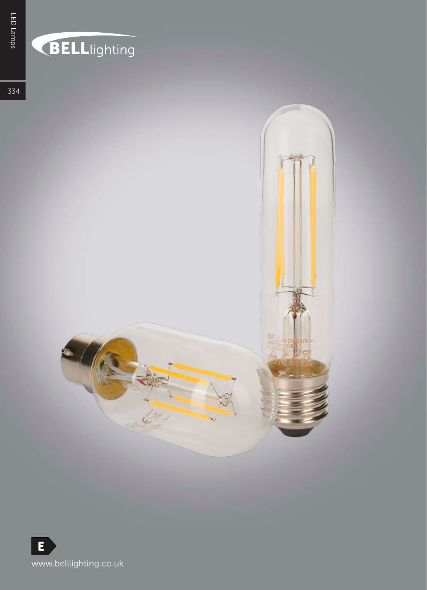## **BELL**lighting

334



E,